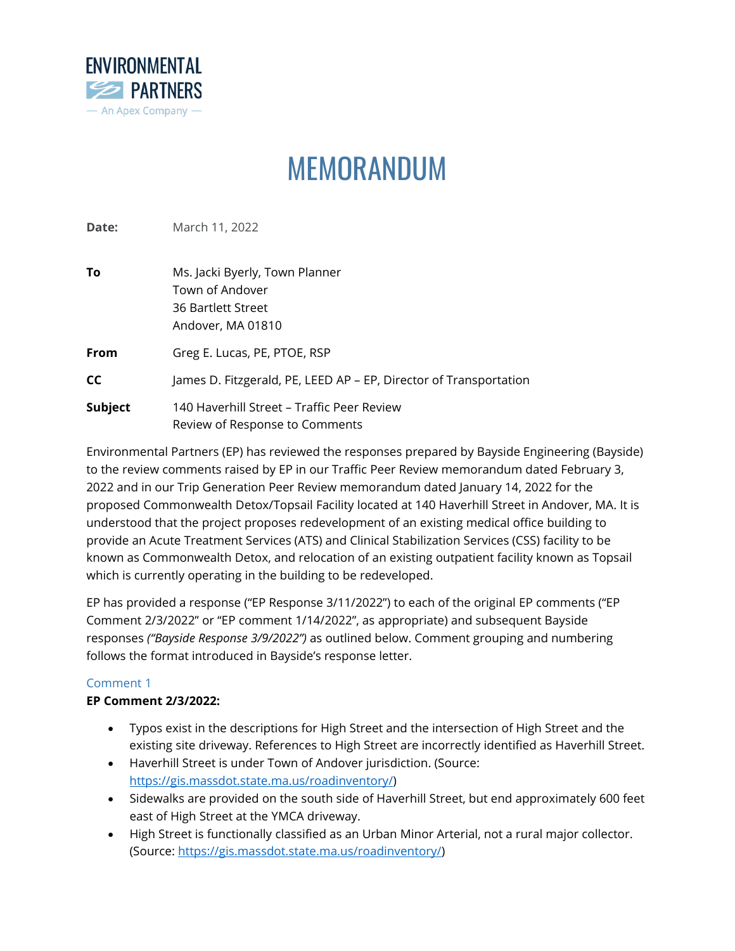

# MEMORANDUM

**Date:** March 11, 2022

| To      | Ms. Jacki Byerly, Town Planner                                               |
|---------|------------------------------------------------------------------------------|
|         | Town of Andover                                                              |
|         | 36 Bartlett Street                                                           |
|         | Andover, MA 01810                                                            |
| From    | Greg E. Lucas, PE, PTOE, RSP                                                 |
| СC      | James D. Fitzgerald, PE, LEED AP - EP, Director of Transportation            |
| Subject | 140 Haverhill Street – Traffic Peer Review<br>Review of Response to Comments |

Environmental Partners (EP) has reviewed the responses prepared by Bayside Engineering (Bayside) to the review comments raised by EP in our Traffic Peer Review memorandum dated February 3, 2022 and in our Trip Generation Peer Review memorandum dated January 14, 2022 for the proposed Commonwealth Detox/Topsail Facility located at 140 Haverhill Street in Andover, MA. It is understood that the project proposes redevelopment of an existing medical office building to provide an Acute Treatment Services (ATS) and Clinical Stabilization Services (CSS) facility to be known as Commonwealth Detox, and relocation of an existing outpatient facility known as Topsail which is currently operating in the building to be redeveloped.

EP has provided a response ("EP Response 3/11/2022") to each of the original EP comments ("EP Comment 2/3/2022" or "EP comment 1/14/2022", as appropriate) and subsequent Bayside responses *("Bayside Response 3/9/2022")* as outlined below. Comment grouping and numbering follows the format introduced in Bayside's response letter.

# Comment 1

# **EP Comment 2/3/2022:**

- Typos exist in the descriptions for High Street and the intersection of High Street and the existing site driveway. References to High Street are incorrectly identified as Haverhill Street.
- Haverhill Street is under Town of Andover jurisdiction. (Source: [https://gis.massdot.state.ma.us/roadinventory/\)](https://gis.massdot.state.ma.us/roadinventory/)
- Sidewalks are provided on the south side of Haverhill Street, but end approximately 600 feet east of High Street at the YMCA driveway.
- High Street is functionally classified as an Urban Minor Arterial, not a rural major collector. (Source: [https://gis.massdot.state.ma.us/roadinventory/\)](https://gis.massdot.state.ma.us/roadinventory/)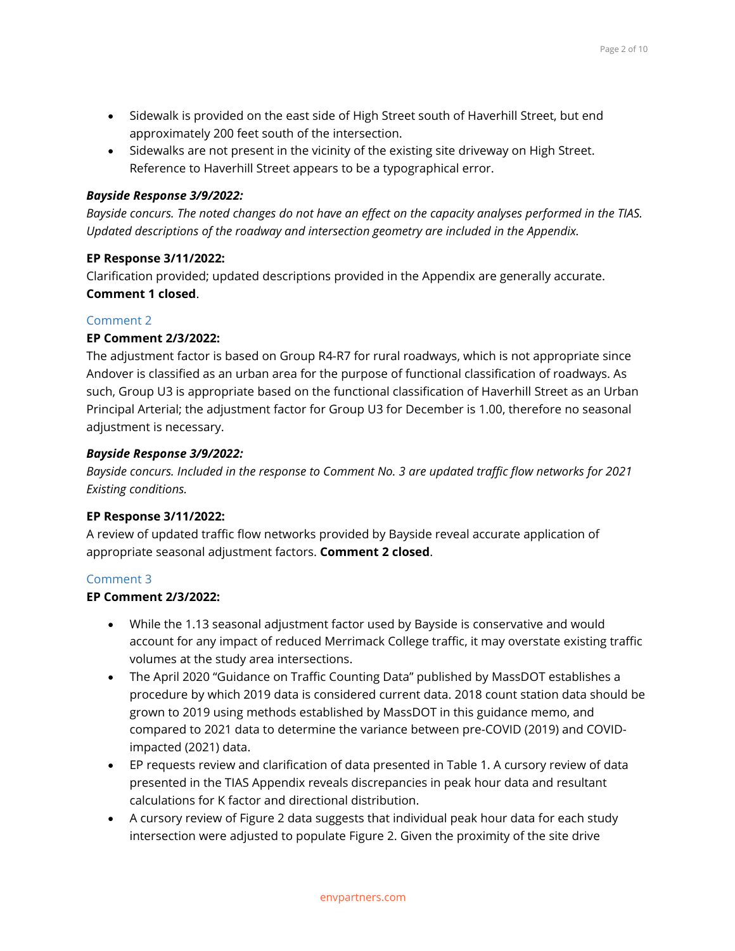- Sidewalk is provided on the east side of High Street south of Haverhill Street, but end approximately 200 feet south of the intersection.
- Sidewalks are not present in the vicinity of the existing site driveway on High Street. Reference to Haverhill Street appears to be a typographical error.

# *Bayside Response 3/9/2022:*

*Bayside concurs. The noted changes do not have an effect on the capacity analyses performed in the TIAS. Updated descriptions of the roadway and intersection geometry are included in the Appendix.*

# **EP Response 3/11/2022:**

Clarification provided; updated descriptions provided in the Appendix are generally accurate. **Comment 1 closed**.

# Comment 2

# **EP Comment 2/3/2022:**

The adjustment factor is based on Group R4-R7 for rural roadways, which is not appropriate since Andover is classified as an urban area for the purpose of functional classification of roadways. As such, Group U3 is appropriate based on the functional classification of Haverhill Street as an Urban Principal Arterial; the adjustment factor for Group U3 for December is 1.00, therefore no seasonal adjustment is necessary.

# *Bayside Response 3/9/2022:*

*Bayside concurs. Included in the response to Comment No. 3 are updated traffic flow networks for 2021 Existing conditions.*

## **EP Response 3/11/2022:**

A review of updated traffic flow networks provided by Bayside reveal accurate application of appropriate seasonal adjustment factors. **Comment 2 closed**.

## Comment 3

# **EP Comment 2/3/2022:**

- While the 1.13 seasonal adjustment factor used by Bayside is conservative and would account for any impact of reduced Merrimack College traffic, it may overstate existing traffic volumes at the study area intersections.
- The April 2020 "Guidance on Traffic Counting Data" published by MassDOT establishes a procedure by which 2019 data is considered current data. 2018 count station data should be grown to 2019 using methods established by MassDOT in this guidance memo, and compared to 2021 data to determine the variance between pre-COVID (2019) and COVIDimpacted (2021) data.
- EP requests review and clarification of data presented in Table 1. A cursory review of data presented in the TIAS Appendix reveals discrepancies in peak hour data and resultant calculations for K factor and directional distribution.
- A cursory review of Figure 2 data suggests that individual peak hour data for each study intersection were adjusted to populate Figure 2. Given the proximity of the site drive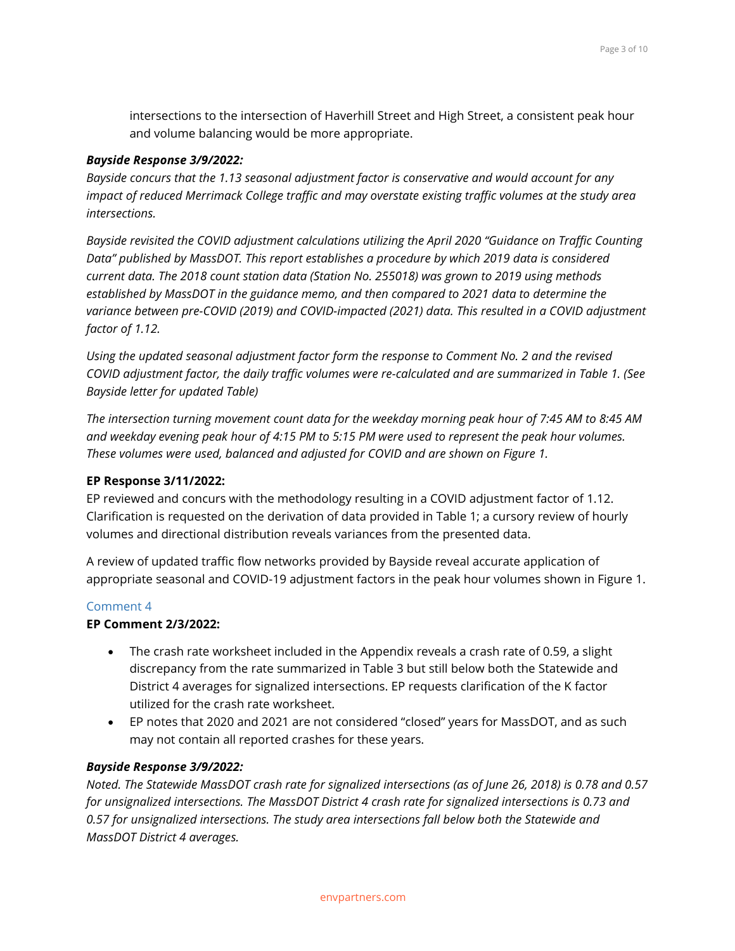intersections to the intersection of Haverhill Street and High Street, a consistent peak hour and volume balancing would be more appropriate.

#### *Bayside Response 3/9/2022:*

*Bayside concurs that the 1.13 seasonal adjustment factor is conservative and would account for any impact of reduced Merrimack College traffic and may overstate existing traffic volumes at the study area intersections.*

*Bayside revisited the COVID adjustment calculations utilizing the April 2020 "Guidance on Traffic Counting Data" published by MassDOT. This report establishes a procedure by which 2019 data is considered current data. The 2018 count station data (Station No. 255018) was grown to 2019 using methods established by MassDOT in the guidance memo, and then compared to 2021 data to determine the variance between pre-COVID (2019) and COVID-impacted (2021) data. This resulted in a COVID adjustment factor of 1.12.*

*Using the updated seasonal adjustment factor form the response to Comment No. 2 and the revised COVID adjustment factor, the daily traffic volumes were re-calculated and are summarized in Table 1. (See Bayside letter for updated Table)*

*The intersection turning movement count data for the weekday morning peak hour of 7:45 AM to 8:45 AM and weekday evening peak hour of 4:15 PM to 5:15 PM were used to represent the peak hour volumes. These volumes were used, balanced and adjusted for COVID and are shown on Figure 1.*

#### **EP Response 3/11/2022:**

EP reviewed and concurs with the methodology resulting in a COVID adjustment factor of 1.12. Clarification is requested on the derivation of data provided in Table 1; a cursory review of hourly volumes and directional distribution reveals variances from the presented data.

A review of updated traffic flow networks provided by Bayside reveal accurate application of appropriate seasonal and COVID-19 adjustment factors in the peak hour volumes shown in Figure 1.

## Comment 4

## **EP Comment 2/3/2022:**

- The crash rate worksheet included in the Appendix reveals a crash rate of 0.59, a slight discrepancy from the rate summarized in Table 3 but still below both the Statewide and District 4 averages for signalized intersections. EP requests clarification of the K factor utilized for the crash rate worksheet.
- EP notes that 2020 and 2021 are not considered "closed" years for MassDOT, and as such may not contain all reported crashes for these years.

## *Bayside Response 3/9/2022:*

*Noted. The Statewide MassDOT crash rate for signalized intersections (as of June 26, 2018) is 0.78 and 0.57 for unsignalized intersections. The MassDOT District 4 crash rate for signalized intersections is 0.73 and 0.57 for unsignalized intersections. The study area intersections fall below both the Statewide and MassDOT District 4 averages.*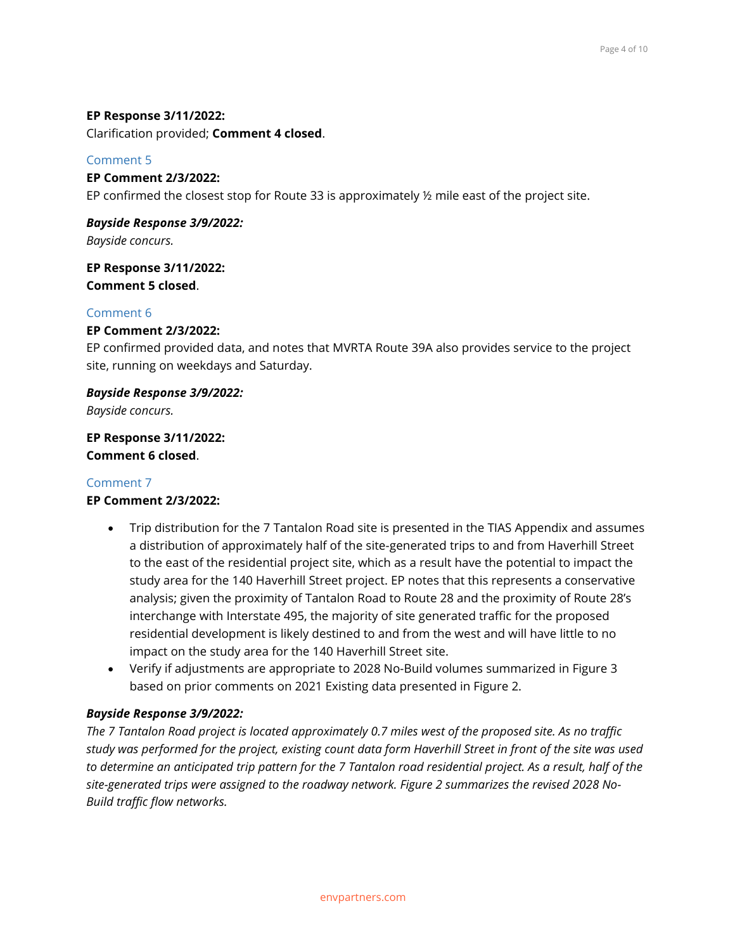## **EP Response 3/11/2022:**

Clarification provided; **Comment 4 closed**.

## Comment 5

**EP Comment 2/3/2022:** EP confirmed the closest stop for Route 33 is approximately ½ mile east of the project site.

*Bayside Response 3/9/2022: Bayside concurs.*

**EP Response 3/11/2022: Comment 5 closed**.

## Comment 6

## **EP Comment 2/3/2022:**

EP confirmed provided data, and notes that MVRTA Route 39A also provides service to the project site, running on weekdays and Saturday.

*Bayside Response 3/9/2022:*

*Bayside concurs.*

**EP Response 3/11/2022: Comment 6 closed**.

## Comment 7

**EP Comment 2/3/2022:**

- Trip distribution for the 7 Tantalon Road site is presented in the TIAS Appendix and assumes a distribution of approximately half of the site-generated trips to and from Haverhill Street to the east of the residential project site, which as a result have the potential to impact the study area for the 140 Haverhill Street project. EP notes that this represents a conservative analysis; given the proximity of Tantalon Road to Route 28 and the proximity of Route 28's interchange with Interstate 495, the majority of site generated traffic for the proposed residential development is likely destined to and from the west and will have little to no impact on the study area for the 140 Haverhill Street site.
- Verify if adjustments are appropriate to 2028 No-Build volumes summarized in Figure 3 based on prior comments on 2021 Existing data presented in Figure 2.

## *Bayside Response 3/9/2022:*

*The 7 Tantalon Road project is located approximately 0.7 miles west of the proposed site. As no traffic study was performed for the project, existing count data form Haverhill Street in front of the site was used to determine an anticipated trip pattern for the 7 Tantalon road residential project. As a result, half of the site-generated trips were assigned to the roadway network. Figure 2 summarizes the revised 2028 No-Build traffic flow networks.*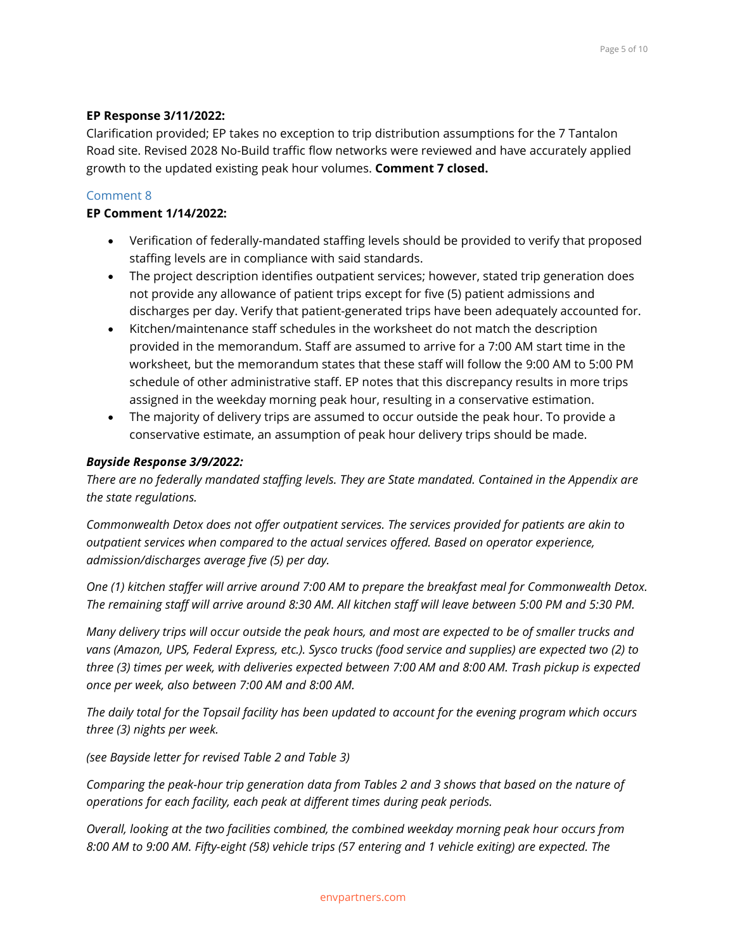#### **EP Response 3/11/2022:**

Clarification provided; EP takes no exception to trip distribution assumptions for the 7 Tantalon Road site. Revised 2028 No-Build traffic flow networks were reviewed and have accurately applied growth to the updated existing peak hour volumes. **Comment 7 closed.**

#### Comment 8

#### **EP Comment 1/14/2022:**

- Verification of federally-mandated staffing levels should be provided to verify that proposed staffing levels are in compliance with said standards.
- The project description identifies outpatient services; however, stated trip generation does not provide any allowance of patient trips except for five (5) patient admissions and discharges per day. Verify that patient-generated trips have been adequately accounted for.
- Kitchen/maintenance staff schedules in the worksheet do not match the description provided in the memorandum. Staff are assumed to arrive for a 7:00 AM start time in the worksheet, but the memorandum states that these staff will follow the 9:00 AM to 5:00 PM schedule of other administrative staff. EP notes that this discrepancy results in more trips assigned in the weekday morning peak hour, resulting in a conservative estimation.
- The majority of delivery trips are assumed to occur outside the peak hour. To provide a conservative estimate, an assumption of peak hour delivery trips should be made.

#### *Bayside Response 3/9/2022:*

*There are no federally mandated staffing levels. They are State mandated. Contained in the Appendix are the state regulations.*

*Commonwealth Detox does not offer outpatient services. The services provided for patients are akin to outpatient services when compared to the actual services offered. Based on operator experience, admission/discharges average five (5) per day.*

*One (1) kitchen staffer will arrive around 7:00 AM to prepare the breakfast meal for Commonwealth Detox. The remaining staff will arrive around 8:30 AM. All kitchen staff will leave between 5:00 PM and 5:30 PM.*

*Many delivery trips will occur outside the peak hours, and most are expected to be of smaller trucks and vans (Amazon, UPS, Federal Express, etc.). Sysco trucks (food service and supplies) are expected two (2) to three (3) times per week, with deliveries expected between 7:00 AM and 8:00 AM. Trash pickup is expected once per week, also between 7:00 AM and 8:00 AM.*

*The daily total for the Topsail facility has been updated to account for the evening program which occurs three (3) nights per week.*

*(see Bayside letter for revised Table 2 and Table 3)*

*Comparing the peak-hour trip generation data from Tables 2 and 3 shows that based on the nature of operations for each facility, each peak at different times during peak periods.*

*Overall, looking at the two facilities combined, the combined weekday morning peak hour occurs from 8:00 AM to 9:00 AM. Fifty-eight (58) vehicle trips (57 entering and 1 vehicle exiting) are expected. The*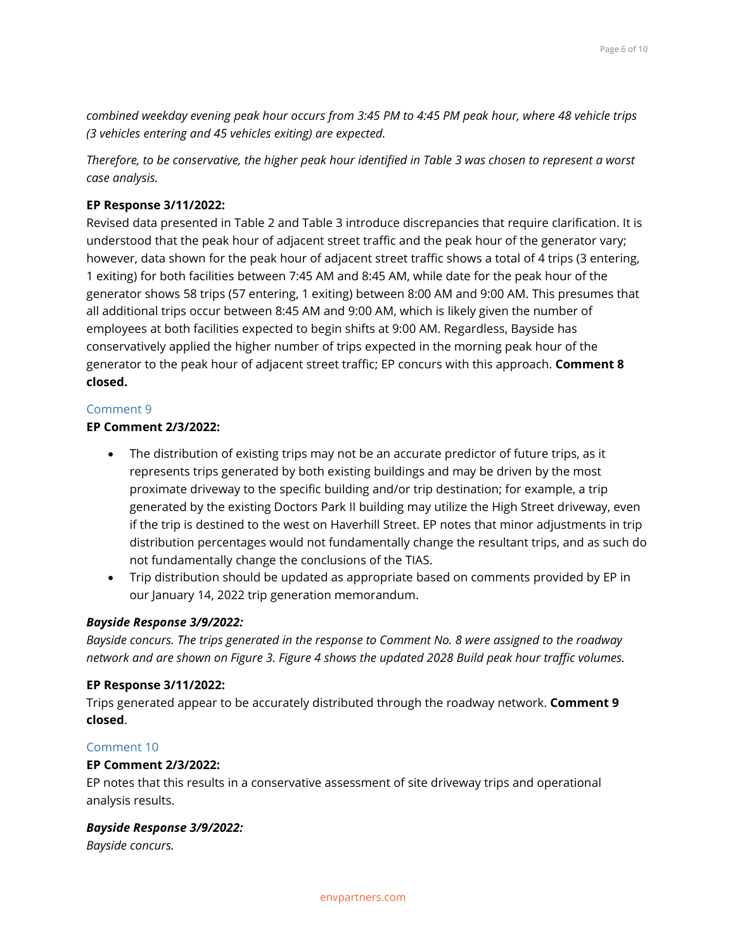*combined weekday evening peak hour occurs from 3:45 PM to 4:45 PM peak hour, where 48 vehicle trips (3 vehicles entering and 45 vehicles exiting) are expected.*

*Therefore, to be conservative, the higher peak hour identified in Table 3 was chosen to represent a worst case analysis.*

## **EP Response 3/11/2022:**

Revised data presented in Table 2 and Table 3 introduce discrepancies that require clarification. It is understood that the peak hour of adjacent street traffic and the peak hour of the generator vary; however, data shown for the peak hour of adjacent street traffic shows a total of 4 trips (3 entering, 1 exiting) for both facilities between 7:45 AM and 8:45 AM, while date for the peak hour of the generator shows 58 trips (57 entering, 1 exiting) between 8:00 AM and 9:00 AM. This presumes that all additional trips occur between 8:45 AM and 9:00 AM, which is likely given the number of employees at both facilities expected to begin shifts at 9:00 AM. Regardless, Bayside has conservatively applied the higher number of trips expected in the morning peak hour of the generator to the peak hour of adjacent street traffic; EP concurs with this approach. **Comment 8 closed.**

## Comment 9

## **EP Comment 2/3/2022:**

- The distribution of existing trips may not be an accurate predictor of future trips, as it represents trips generated by both existing buildings and may be driven by the most proximate driveway to the specific building and/or trip destination; for example, a trip generated by the existing Doctors Park II building may utilize the High Street driveway, even if the trip is destined to the west on Haverhill Street. EP notes that minor adjustments in trip distribution percentages would not fundamentally change the resultant trips, and as such do not fundamentally change the conclusions of the TIAS.
- Trip distribution should be updated as appropriate based on comments provided by EP in our January 14, 2022 trip generation memorandum.

## *Bayside Response 3/9/2022:*

*Bayside concurs. The trips generated in the response to Comment No. 8 were assigned to the roadway network and are shown on Figure 3. Figure 4 shows the updated 2028 Build peak hour traffic volumes.*

## **EP Response 3/11/2022:**

Trips generated appear to be accurately distributed through the roadway network. **Comment 9 closed**.

## Comment 10

## **EP Comment 2/3/2022:**

EP notes that this results in a conservative assessment of site driveway trips and operational analysis results.

## *Bayside Response 3/9/2022:*

*Bayside concurs.*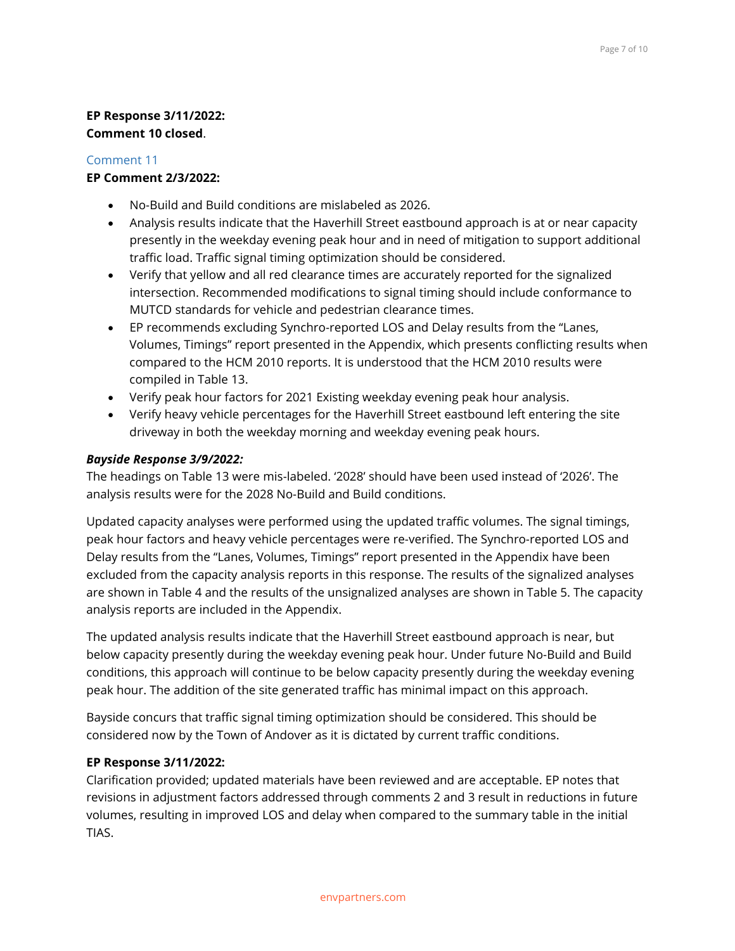# **EP Response 3/11/2022: Comment 10 closed**.

## Comment 11

## **EP Comment 2/3/2022:**

- No-Build and Build conditions are mislabeled as 2026.
- Analysis results indicate that the Haverhill Street eastbound approach is at or near capacity presently in the weekday evening peak hour and in need of mitigation to support additional traffic load. Traffic signal timing optimization should be considered.
- Verify that yellow and all red clearance times are accurately reported for the signalized intersection. Recommended modifications to signal timing should include conformance to MUTCD standards for vehicle and pedestrian clearance times.
- EP recommends excluding Synchro-reported LOS and Delay results from the "Lanes, Volumes, Timings" report presented in the Appendix, which presents conflicting results when compared to the HCM 2010 reports. It is understood that the HCM 2010 results were compiled in Table 13.
- Verify peak hour factors for 2021 Existing weekday evening peak hour analysis.
- Verify heavy vehicle percentages for the Haverhill Street eastbound left entering the site driveway in both the weekday morning and weekday evening peak hours.

# *Bayside Response 3/9/2022:*

The headings on Table 13 were mis-labeled. '2028' should have been used instead of '2026'. The analysis results were for the 2028 No-Build and Build conditions.

Updated capacity analyses were performed using the updated traffic volumes. The signal timings, peak hour factors and heavy vehicle percentages were re-verified. The Synchro-reported LOS and Delay results from the "Lanes, Volumes, Timings" report presented in the Appendix have been excluded from the capacity analysis reports in this response. The results of the signalized analyses are shown in Table 4 and the results of the unsignalized analyses are shown in Table 5. The capacity analysis reports are included in the Appendix.

The updated analysis results indicate that the Haverhill Street eastbound approach is near, but below capacity presently during the weekday evening peak hour. Under future No-Build and Build conditions, this approach will continue to be below capacity presently during the weekday evening peak hour. The addition of the site generated traffic has minimal impact on this approach.

Bayside concurs that traffic signal timing optimization should be considered. This should be considered now by the Town of Andover as it is dictated by current traffic conditions.

# **EP Response 3/11/2022:**

Clarification provided; updated materials have been reviewed and are acceptable. EP notes that revisions in adjustment factors addressed through comments 2 and 3 result in reductions in future volumes, resulting in improved LOS and delay when compared to the summary table in the initial TIAS.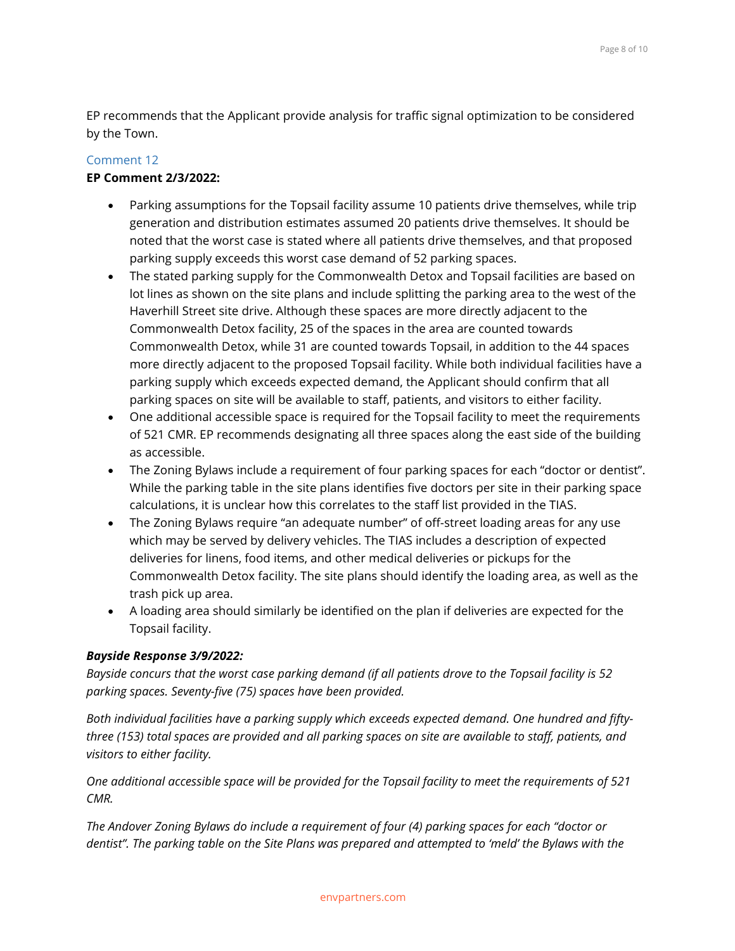EP recommends that the Applicant provide analysis for traffic signal optimization to be considered by the Town.

#### Comment 12

#### **EP Comment 2/3/2022:**

- Parking assumptions for the Topsail facility assume 10 patients drive themselves, while trip generation and distribution estimates assumed 20 patients drive themselves. It should be noted that the worst case is stated where all patients drive themselves, and that proposed parking supply exceeds this worst case demand of 52 parking spaces.
- The stated parking supply for the Commonwealth Detox and Topsail facilities are based on lot lines as shown on the site plans and include splitting the parking area to the west of the Haverhill Street site drive. Although these spaces are more directly adjacent to the Commonwealth Detox facility, 25 of the spaces in the area are counted towards Commonwealth Detox, while 31 are counted towards Topsail, in addition to the 44 spaces more directly adjacent to the proposed Topsail facility. While both individual facilities have a parking supply which exceeds expected demand, the Applicant should confirm that all parking spaces on site will be available to staff, patients, and visitors to either facility.
- One additional accessible space is required for the Topsail facility to meet the requirements of 521 CMR. EP recommends designating all three spaces along the east side of the building as accessible.
- The Zoning Bylaws include a requirement of four parking spaces for each "doctor or dentist". While the parking table in the site plans identifies five doctors per site in their parking space calculations, it is unclear how this correlates to the staff list provided in the TIAS.
- The Zoning Bylaws require "an adequate number" of off-street loading areas for any use which may be served by delivery vehicles. The TIAS includes a description of expected deliveries for linens, food items, and other medical deliveries or pickups for the Commonwealth Detox facility. The site plans should identify the loading area, as well as the trash pick up area.
- A loading area should similarly be identified on the plan if deliveries are expected for the Topsail facility.

#### *Bayside Response 3/9/2022:*

*Bayside concurs that the worst case parking demand (if all patients drove to the Topsail facility is 52 parking spaces. Seventy-five (75) spaces have been provided.*

*Both individual facilities have a parking supply which exceeds expected demand. One hundred and fiftythree (153) total spaces are provided and all parking spaces on site are available to staff, patients, and visitors to either facility.*

*One additional accessible space will be provided for the Topsail facility to meet the requirements of 521 CMR.*

*The Andover Zoning Bylaws do include a requirement of four (4) parking spaces for each "doctor or dentist". The parking table on the Site Plans was prepared and attempted to 'meld' the Bylaws with the*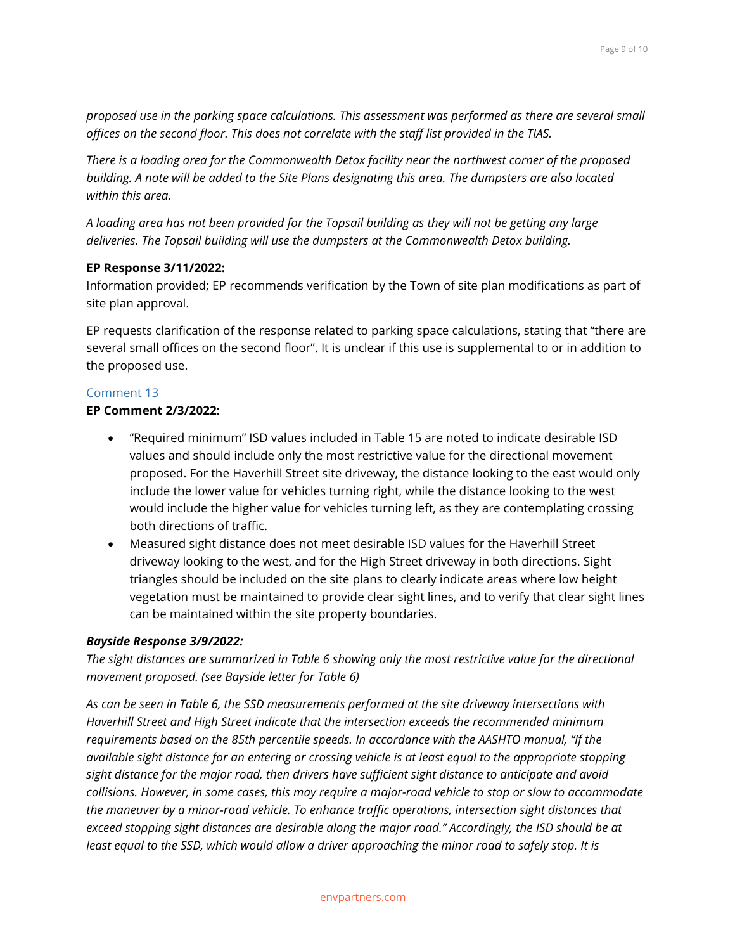*proposed use in the parking space calculations. This assessment was performed as there are several small offices on the second floor. This does not correlate with the staff list provided in the TIAS.*

*There is a loading area for the Commonwealth Detox facility near the northwest corner of the proposed building. A note will be added to the Site Plans designating this area. The dumpsters are also located within this area.*

*A loading area has not been provided for the Topsail building as they will not be getting any large deliveries. The Topsail building will use the dumpsters at the Commonwealth Detox building.*

## **EP Response 3/11/2022:**

Information provided; EP recommends verification by the Town of site plan modifications as part of site plan approval.

EP requests clarification of the response related to parking space calculations, stating that "there are several small offices on the second floor". It is unclear if this use is supplemental to or in addition to the proposed use.

# Comment 13

#### **EP Comment 2/3/2022:**

- "Required minimum" ISD values included in Table 15 are noted to indicate desirable ISD values and should include only the most restrictive value for the directional movement proposed. For the Haverhill Street site driveway, the distance looking to the east would only include the lower value for vehicles turning right, while the distance looking to the west would include the higher value for vehicles turning left, as they are contemplating crossing both directions of traffic.
- Measured sight distance does not meet desirable ISD values for the Haverhill Street driveway looking to the west, and for the High Street driveway in both directions. Sight triangles should be included on the site plans to clearly indicate areas where low height vegetation must be maintained to provide clear sight lines, and to verify that clear sight lines can be maintained within the site property boundaries.

## *Bayside Response 3/9/2022:*

*The sight distances are summarized in Table 6 showing only the most restrictive value for the directional movement proposed. (see Bayside letter for Table 6)*

*As can be seen in Table 6, the SSD measurements performed at the site driveway intersections with Haverhill Street and High Street indicate that the intersection exceeds the recommended minimum requirements based on the 85th percentile speeds. In accordance with the AASHTO manual, "If the available sight distance for an entering or crossing vehicle is at least equal to the appropriate stopping sight distance for the major road, then drivers have sufficient sight distance to anticipate and avoid collisions. However, in some cases, this may require a major-road vehicle to stop or slow to accommodate the maneuver by a minor-road vehicle. To enhance traffic operations, intersection sight distances that exceed stopping sight distances are desirable along the major road." Accordingly, the ISD should be at least equal to the SSD, which would allow a driver approaching the minor road to safely stop. It is*